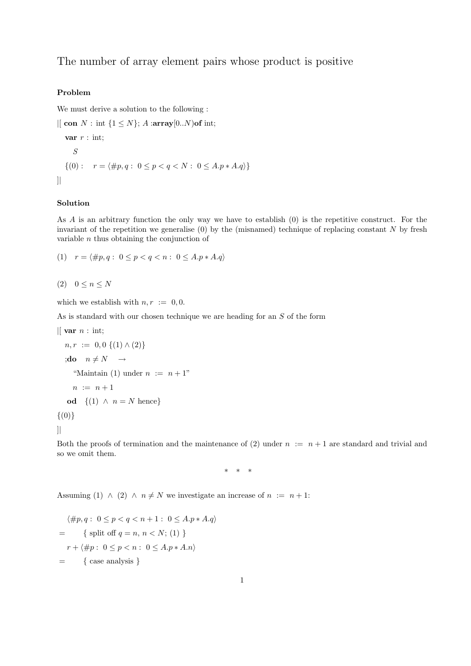## The number of array element pairs whose product is positive

## Problem

We must derive a solution to the following :

```
\vert\vert con N: int \{1 \leq N\}; A :array[0..N)of int;
   var r : \text{int};
      S
   \{(0): r = \langle \#p, q : 0 \leq p < q < N : 0 \leq A.p * A.q \rangle\}]|
```
## Solution

As A is an arbitrary function the only way we have to establish (0) is the repetitive construct. For the invariant of the repetition we generalise  $(0)$  by the (misnamed) technique of replacing constant N by fresh variable  $n$  thus obtaining the conjunction of

(1) 
$$
r = \langle \#p, q : 0 \leq p < q < n : 0 \leq A \cdot p * A \cdot q \rangle
$$

$$
(2) \quad 0 \le n \le N
$$

which we establish with  $n, r := 0, 0$ .

As is standard with our chosen technique we are heading for an S of the form

$$
\begin{aligned}\n\mid [\text{ var } n : \text{ int}; \\
 &n, r := 0, 0 \{(1) \land (2)\} \\
\mid \text{do} \quad &n \neq N \quad \rightarrow \\
 &\text{``Maintain (1) under } n := n + 1" \\
 &n := n + 1 \\
 &\text{od} \quad \{(1) \land n = N \text{ hence}\} \\
 &\{(0)\}\n\end{aligned}
$$

]|

Both the proofs of termination and the maintenance of (2) under  $n := n + 1$  are standard and trivial and so we omit them.

\* \* \*

Assuming (1) ∧ (2) ∧  $n \neq N$  we investigate an increase of  $n := n + 1$ :

$$
\langle \#p, q: 0 \le p < q < n + 1: 0 \le A.p * A.q \rangle
$$
\n
$$
= \{ \text{ split off } q = n, n < N; (1) \}
$$
\n
$$
r + \langle \#p: 0 \le p < n: 0 \le A.p * A.n \rangle
$$
\n
$$
= \{ \text{ case analysis } \}
$$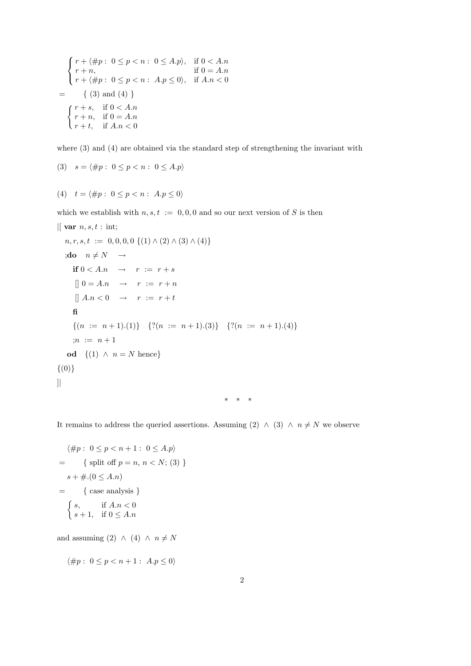$$
\begin{cases}\nr + \langle \#p : 0 \le p < n : 0 \le A.p \rangle, & \text{if } 0 < A.n \\
r + n, & \text{if } 0 = A.n \\
r + \langle \#p : 0 \le p < n : A.p \le 0 \rangle, & \text{if } A.n < 0\n\end{cases}
$$
\n
$$
= \{ (3) \text{ and } (4) \}
$$
\n
$$
\begin{cases}\nr + s, & \text{if } 0 < A.n \\
r + n, & \text{if } 0 = A.n \\
r + t, & \text{if } A.n < 0\n\end{cases}
$$

where (3) and (4) are obtained via the standard step of strengthening the invariant with

$$
(3) \quad s = \langle \#p : 0 \le p < n : 0 \le A.p \rangle
$$

(4) 
$$
t = \langle \#p : 0 \leq p < n : A.p \leq 0 \rangle
$$

which we establish with  $n, s, t := 0, 0, 0$  and so our next version of S is then

$$
| \text{ var } n, s, t : \text{ int;} n, r, s, t := 0, 0, 0, 0 \{ (1) \land (2) \land (3) \land (4) \} \n; do \quad n \neq N \rightarrow \nif \quad 0 < A.n \rightarrow r := r + s \n\quad 0 = A.n \rightarrow r := r + n \n\quad 1 A.n < 0 \rightarrow r := r + t \n\text{fi} \n\quad \{ (n := n + 1). (1) \} \quad \{ ? (n := n + 1). (3) \} \quad \{ ? (n := n + 1). (4) \} \n; n := n + 1 \n\text{od } \{ (1) \land n = N \text{ hence} \} \n\{ (0) \} \n| \qquad \qquad \ast \ast \ast
$$

It remains to address the queried assertions. Assuming (2) ∧ (3) ∧  $n \neq N$  we observe

$$
\langle \#p : 0 \le p < n + 1 : 0 \le A.p \rangle
$$
\n
$$
= \{ \text{split off } p = n, n < N; (3) \}
$$
\n
$$
s + \# (0 \le A.n)
$$
\n
$$
= \{ \text{case analysis } \}
$$
\n
$$
\{ s, \quad \text{if } A.n < 0 \}
$$
\n
$$
s + 1, \quad \text{if } 0 \le A.n
$$

and assuming (2) ∧ (4) ∧  $n \neq N$ 

$$
\langle \#p : \ 0 \le p < n+1 : \ A.p \le 0 \rangle
$$